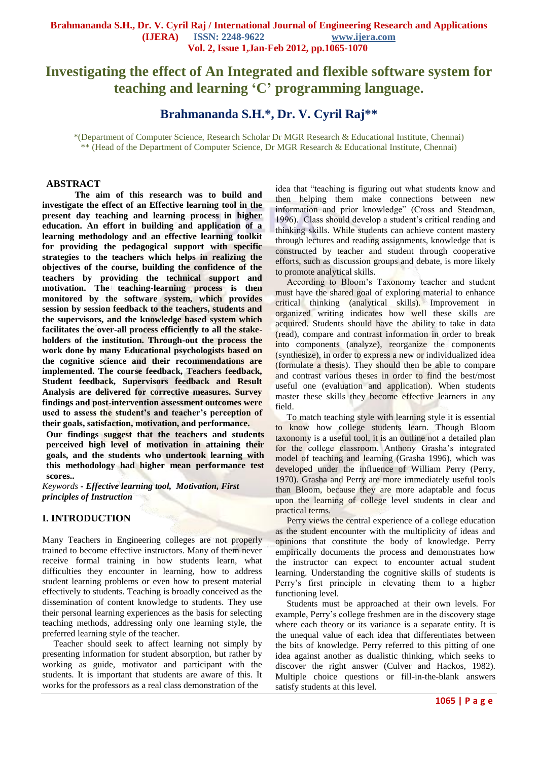# **Investigating the effect of An Integrated and flexible software system for teaching and learning 'C' programming language.**

## **Brahmananda S.H.\*, Dr. V. Cyril Raj\*\***

\*(Department of Computer Science, Research Scholar Dr MGR Research & Educational Institute, Chennai) \*\* (Head of the Department of Computer Science, Dr MGR Research & Educational Institute, Chennai)

#### **ABSTRACT**

**The aim of this research was to build and investigate the effect of an Effective learning tool in the present day teaching and learning process in higher education. An effort in building and application of a learning methodology and an effective learning toolkit for providing the pedagogical support with specific strategies to the teachers which helps in realizing the objectives of the course, building the confidence of the teachers by providing the technical support and motivation. The teaching-learning process is then monitored by the software system, which provides session by session feedback to the teachers, students and the supervisors, and the knowledge based system which facilitates the over-all process efficiently to all the stakeholders of the institution. Through-out the process the work done by many Educational psychologists based on the cognitive science and their recommendations are implemented. The course feedback, Teachers feedback, Student feedback, Supervisors feedback and Result Analysis are delivered for corrective measures. Survey findings and post-intervention assessment outcomes were used to assess the student's and teacher's perception of their goals, satisfaction, motivation, and performance.**

**Our findings suggest that the teachers and students perceived high level of motivation in attaining their goals, and the students who undertook learning with this methodology had higher mean performance test scores..**

*Keywords* **-** *Effective learning tool, Motivation, First principles of Instruction*

#### **I. INTRODUCTION**

Many Teachers in Engineering colleges are not properly trained to become effective instructors. Many of them never receive formal training in how students learn, what difficulties they encounter in learning, how to address student learning problems or even how to present material effectively to students. Teaching is broadly conceived as the dissemination of content knowledge to students. They use their personal learning experiences as the basis for selecting teaching methods, addressing only one learning style, the preferred learning style of the teacher.

 Teacher should seek to affect learning not simply by presenting information for student absorption, but rather by working as guide, motivator and participant with the students. It is important that students are aware of this. It works for the professors as a real class demonstration of the

idea that "teaching is figuring out what students know and then helping them make connections between new information and prior knowledge" (Cross and Steadman, 1996). Class should develop a student's critical reading and thinking skills. While students can achieve content mastery through lectures and reading assignments, knowledge that is constructed by teacher and student through cooperative efforts, such as discussion groups and debate, is more likely to promote analytical skills.

 According to Bloom's Taxonomy teacher and student must have the shared goal of exploring material to enhance critical thinking (analytical skills). Improvement in organized writing indicates how well these skills are acquired. Students should have the ability to take in data (read), compare and contrast information in order to break into components (analyze), reorganize the components (synthesize), in order to express a new or individualized idea (formulate a thesis). They should then be able to compare and contrast various theses in order to find the best/most useful one (evaluation and application). When students master these skills they become effective learners in any field.

 To match teaching style with learning style it is essential to know how college students learn. Though Bloom taxonomy is a useful tool, it is an outline not a detailed plan for the college classroom. Anthony Grasha's integrated model of teaching and learning (Grasha 1996), which was developed under the influence of William Perry (Perry, 1970). Grasha and Perry are more immediately useful tools than Bloom, because they are more adaptable and focus upon the learning of college level students in clear and practical terms.

 Perry views the central experience of a college education as the student encounter with the multiplicity of ideas and opinions that constitute the body of knowledge. Perry empirically documents the process and demonstrates how the instructor can expect to encounter actual student learning. Understanding the cognitive skills of students is Perry's first principle in elevating them to a higher functioning level.

 Students must be approached at their own levels. For example, Perry's college freshmen are in the discovery stage where each theory or its variance is a separate entity. It is the unequal value of each idea that differentiates between the bits of knowledge. Perry referred to this pitting of one idea against another as dualistic thinking, which seeks to discover the right answer (Culver and Hackos, 1982). Multiple choice questions or fill-in-the-blank answers satisfy students at this level.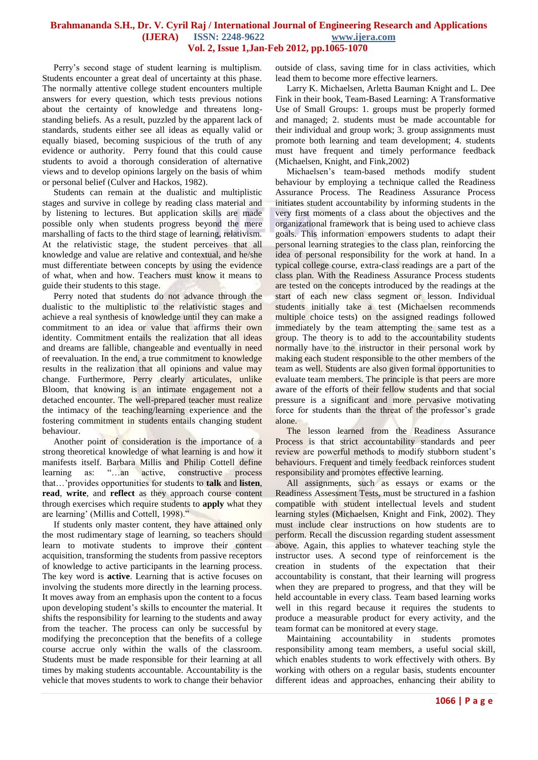Perry's second stage of student learning is multiplism. Students encounter a great deal of uncertainty at this phase. The normally attentive college student encounters multiple answers for every question, which tests previous notions about the certainty of knowledge and threatens longstanding beliefs. As a result, puzzled by the apparent lack of standards, students either see all ideas as equally valid or equally biased, becoming suspicious of the truth of any evidence or authority. Perry found that this could cause students to avoid a thorough consideration of alternative views and to develop opinions largely on the basis of whim or personal belief (Culver and Hackos, 1982).

 Students can remain at the dualistic and multiplistic stages and survive in college by reading class material and by listening to lectures. But application skills are made possible only when students progress beyond the mere marshalling of facts to the third stage of learning, relativism. At the relativistic stage, the student perceives that all knowledge and value are relative and contextual, and he/she must differentiate between concepts by using the evidence of what, when and how. Teachers must know it means to guide their students to this stage.

 Perry noted that students do not advance through the dualistic to the multiplistic to the relativistic stages and achieve a real synthesis of knowledge until they can make a commitment to an idea or value that affirms their own identity. Commitment entails the realization that all ideas and dreams are fallible, changeable and eventually in need of reevaluation. In the end, a true commitment to knowledge results in the realization that all opinions and value may change. Furthermore, Perry clearly articulates, unlike Bloom, that knowing is an intimate engagement not a detached encounter. The well-prepared teacher must realize the intimacy of the teaching/learning experience and the fostering commitment in students entails changing student behaviour.

 Another point of consideration is the importance of a strong theoretical knowledge of what learning is and how it manifests itself. Barbara Millis and Philip Cottell define learning as: "…an active, constructive process that…'provides opportunities for students to **talk** and **listen**, **read**, **write**, and **reflect** as they approach course content through exercises which require students to **apply** what they are learning' (Millis and Cottell, 1998)."

 If students only master content, they have attained only the most rudimentary stage of learning, so teachers should learn to motivate students to improve their content acquisition, transforming the students from passive receptors of knowledge to active participants in the learning process. The key word is **active**. Learning that is active focuses on involving the students more directly in the learning process. It moves away from an emphasis upon the content to a focus upon developing student's skills to encounter the material. It shifts the responsibility for learning to the students and away from the teacher. The process can only be successful by modifying the preconception that the benefits of a college course accrue only within the walls of the classroom. Students must be made responsible for their learning at all times by making students accountable. Accountability is the vehicle that moves students to work to change their behavior

outside of class, saving time for in class activities, which lead them to become more effective learners.

 Larry K. Michaelsen, Arletta Bauman Knight and L. Dee Fink in their book, Team-Based Learning: A Transformative Use of Small Groups: 1. groups must be properly formed and managed; 2. students must be made accountable for their individual and group work; 3. group assignments must promote both learning and team development; 4. students must have frequent and timely performance feedback (Michaelsen, Knight, and Fink,2002)

 Michaelsen's team-based methods modify student behaviour by employing a technique called the Readiness Assurance Process. The Readiness Assurance Process initiates student accountability by informing students in the very first moments of a class about the objectives and the organizational framework that is being used to achieve class goals. This information empowers students to adapt their personal learning strategies to the class plan, reinforcing the idea of personal responsibility for the work at hand. In a typical college course, extra-class readings are a part of the class plan. With the Readiness Assurance Process students are tested on the concepts introduced by the readings at the start of each new class segment or lesson. Individual students initially take a test (Michaelsen recommends multiple choice tests) on the assigned readings followed immediately by the team attempting the same test as a group. The theory is to add to the accountability students normally have to the instructor in their personal work by making each student responsible to the other members of the team as well. Students are also given formal opportunities to evaluate team members. The principle is that peers are more aware of the efforts of their fellow students and that social pressure is a significant and more pervasive motivating force for students than the threat of the professor's grade alone.

 The lesson learned from the Readiness Assurance Process is that strict accountability standards and peer review are powerful methods to modify stubborn student's behaviours. Frequent and timely feedback reinforces student responsibility and promotes effective learning.

 All assignments, such as essays or exams or the Readiness Assessment Tests, must be structured in a fashion compatible with student intellectual levels and student learning styles (Michaelsen, Knight and Fink, 2002). They must include clear instructions on how students are to perform. Recall the discussion regarding student assessment above. Again, this applies to whatever teaching style the instructor uses. A second type of reinforcement is the creation in students of the expectation that their accountability is constant, that their learning will progress when they are prepared to progress, and that they will be held accountable in every class. Team based learning works well in this regard because it requires the students to produce a measurable product for every activity, and the team format can be monitored at every stage.

 Maintaining accountability in students promotes responsibility among team members, a useful social skill, which enables students to work effectively with others. By working with others on a regular basis, students encounter different ideas and approaches, enhancing their ability to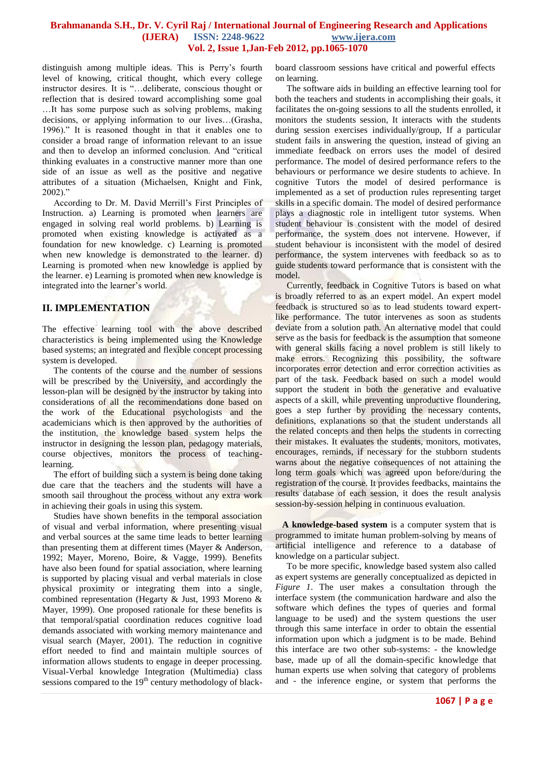distinguish among multiple ideas. This is Perry's fourth level of knowing, critical thought, which every college instructor desires. It is "…deliberate, conscious thought or reflection that is desired toward accomplishing some goal …It has some purpose such as solving problems, making decisions, or applying information to our lives…(Grasha, 1996)." It is reasoned thought in that it enables one to consider a broad range of information relevant to an issue and then to develop an informed conclusion. And "critical thinking evaluates in a constructive manner more than one side of an issue as well as the positive and negative attributes of a situation (Michaelsen, Knight and Fink, 2002)."

 According to Dr. M. David Merrill's First Principles of Instruction. a) Learning is promoted when learners are engaged in solving real world problems. b) Learning is promoted when existing knowledge is activated as a foundation for new knowledge. c) Learning is promoted when new knowledge is demonstrated to the learner. d) Learning is promoted when new knowledge is applied by the learner. e) Learning is promoted when new knowledge is integrated into the learner's world.

#### **II. IMPLEMENTATION**

The effective learning tool with the above described characteristics is being implemented using the Knowledge based systems; an integrated and flexible concept processing system is developed.

 The contents of the course and the number of sessions will be prescribed by the University, and accordingly the lesson-plan will be designed by the instructor by taking into considerations of all the recommendations done based on the work of the Educational psychologists and the academicians which is then approved by the authorities of the institution, the knowledge based system helps the instructor in designing the lesson plan, pedagogy materials, course objectives, monitors the process of teachinglearning.

The effort of building such a system is being done taking due care that the teachers and the students will have a smooth sail throughout the process without any extra work in achieving their goals in using this system.

 Studies have shown benefits in the temporal association of visual and verbal information, where presenting visual and verbal sources at the same time leads to better learning than presenting them at different times (Mayer & Anderson, 1992; Mayer, Moreno, Boire, & Vagge, 1999). Benefits have also been found for spatial association, where learning is supported by placing visual and verbal materials in close physical proximity or integrating them into a single, combined representation (Hegarty & Just, 1993 Moreno & Mayer, 1999). One proposed rationale for these benefits is that temporal/spatial coordination reduces cognitive load demands associated with working memory maintenance and visual search (Mayer, 2001). The reduction in cognitive effort needed to find and maintain multiple sources of information allows students to engage in deeper processing. Visual-Verbal knowledge Integration (Multimedia) class sessions compared to the  $19<sup>th</sup>$  century methodology of black-

board classroom sessions have critical and powerful effects on learning.

 The software aids in building an effective learning tool for both the teachers and students in accomplishing their goals, it facilitates the on-going sessions to all the students enrolled, it monitors the students session, It interacts with the students during session exercises individually/group, If a particular student fails in answering the question, instead of giving an immediate feedback on errors uses the model of desired performance. The model of desired performance refers to the behaviours or performance we desire students to achieve. In cognitive Tutors the model of desired performance is implemented as a set of production rules representing target skills in a specific domain. The model of desired performance plays a diagnostic role in intelligent tutor systems. When student behaviour is consistent with the model of desired performance, the system does not intervene. However, if student behaviour is inconsistent with the model of desired performance, the system intervenes with feedback so as to guide students toward performance that is consistent with the model.

 Currently, feedback in Cognitive Tutors is based on what is broadly referred to as an expert model. An expert model feedback is structured so as to lead students toward expertlike performance. The tutor intervenes as soon as students deviate from a solution path. An alternative model that could serve as the basis for feedback is the assumption that someone with general skills facing a novel problem is still likely to make errors. Recognizing this possibility, the software incorporates error detection and error correction activities as part of the task. Feedback based on such a model would support the student in both the generative and evaluative aspects of a skill, while preventing unproductive floundering, goes a step further by providing the necessary contents, definitions, explanations so that the student understands all the related concepts and then helps the students in correcting their mistakes. It evaluates the students, monitors, motivates, encourages, reminds, if necessary for the stubborn students warns about the negative consequences of not attaining the long term goals which was agreed upon before/during the registration of the course. It provides feedbacks, maintains the results database of each session, it does the result analysis session-by-session helping in continuous evaluation.

 **A knowledge-based system** is a computer system that is programmed to imitate human problem-solving by means of artificial intelligence and reference to a database of knowledge on a particular subject.

 To be more specific, knowledge based system also called as expert systems are generally conceptualized as depicted in *Figure 1*. The user makes a consultation through the interface system (the communication hardware and also the software which defines the types of queries and formal language to be used) and the system questions the user through this same interface in order to obtain the essential information upon which a judgment is to be made. Behind this interface are two other sub-systems: - the knowledge base, made up of all the domain-specific knowledge that human experts use when solving that category of problems and - the inference engine, or system that performs the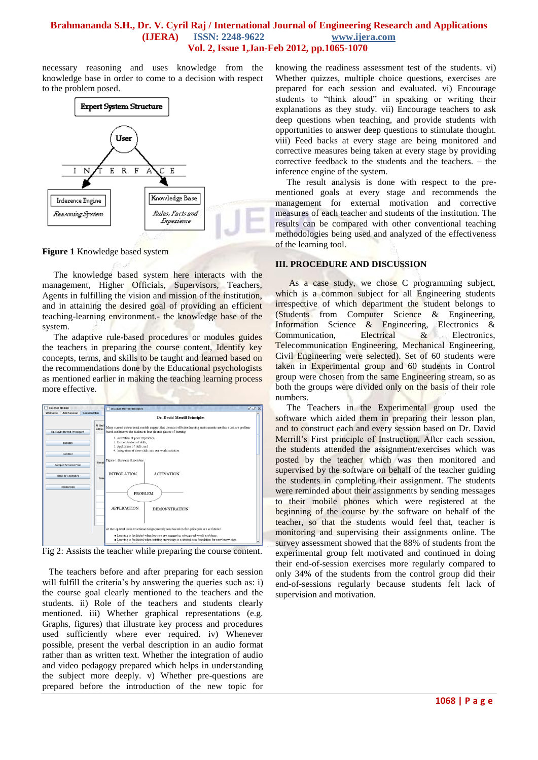necessary reasoning and uses knowledge from the knowledge base in order to come to a decision with respect to the problem posed.



**Figure 1** Knowledge based system

 The knowledge based system here interacts with the management, Higher Officials, Supervisors, Teachers, Agents in fulfilling the vision and mission of the institution, and in attaining the desired goal of providing an efficient teaching-learning environment.- the knowledge base of the system.

 The adaptive rule-based procedures or modules guides the teachers in preparing the course content, Identify key concepts, terms, and skills to be taught and learned based on the recommendations done by the Educational psychologists as mentioned earlier in making the teaching learning process more effective.



Fig 2: Assists the teacher while preparing the course content.

 The teachers before and after preparing for each session will fulfill the criteria's by answering the queries such as: i) the course goal clearly mentioned to the teachers and the students. ii) Role of the teachers and students clearly mentioned. iii) Whether graphical representations (e.g. Graphs, figures) that illustrate key process and procedures used sufficiently where ever required. iv) Whenever possible, present the verbal description in an audio format rather than as written text. Whether the integration of audio and video pedagogy prepared which helps in understanding the subject more deeply. v) Whether pre-questions are prepared before the introduction of the new topic for

knowing the readiness assessment test of the students. vi) Whether quizzes, multiple choice questions, exercises are prepared for each session and evaluated. vi) Encourage students to "think aloud" in speaking or writing their explanations as they study. vii) Encourage teachers to ask deep questions when teaching, and provide students with opportunities to answer deep questions to stimulate thought. viii) Feed backs at every stage are being monitored and corrective measures being taken at every stage by providing corrective feedback to the students and the teachers. – the inference engine of the system.

 The result analysis is done with respect to the prementioned goals at every stage and recommends the management for external motivation and corrective measures of each teacher and students of the institution. The results can be compared with other conventional teaching methodologies being used and analyzed of the effectiveness of the learning tool.

#### **III. PROCEDURE AND DISCUSSION**

 As a case study, we chose C programming subject, which is a common subject for all Engineering students irrespective of which department the student belongs to (Students from Computer Science & Engineering, Information Science & Engineering, Electronics & Communication, Electrical & Electronics, Telecommunication Engineering, Mechanical Engineering, Civil Engineering were selected). Set of 60 students were taken in Experimental group and 60 students in Control group were chosen from the same Engineering stream, so as both the groups were divided only on the basis of their role numbers.

 The Teachers in the Experimental group used the software which aided them in preparing their lesson plan, and to construct each and every session based on Dr. David Merrill's First principle of Instruction, After each session, the students attended the assignment/exercises which was posted by the teacher which was then monitored and supervised by the software on behalf of the teacher guiding the students in completing their assignment. The students were reminded about their assignments by sending messages to their mobile phones which were registered at the beginning of the course by the software on behalf of the teacher, so that the students would feel that, teacher is monitoring and supervising their assignments online. The survey assessment showed that the 88% of students from the experimental group felt motivated and continued in doing their end-of-session exercises more regularly compared to only 34% of the students from the control group did their end-of-sessions regularly because students felt lack of supervision and motivation.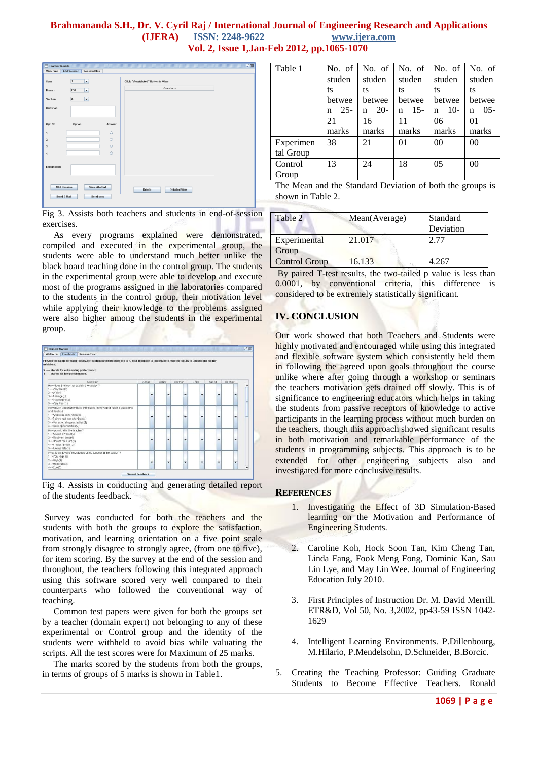| Teacher Module<br>Welcome           | <b>Add Session</b><br><b>Session Plan</b>  | $\overline{\mathfrak{a}^{\mathfrak{c}}}$ $\boxtimes$ |
|-------------------------------------|--------------------------------------------|------------------------------------------------------|
| Sem                                 | $\overline{1}$<br>$\overline{\phantom{a}}$ | Click "ViewAlloted" Button to View                   |
| Branch                              | CSE<br>٠                                   | Questions                                            |
| Section                             | T<br>A                                     |                                                      |
| Question                            |                                            |                                                      |
| Opt. No.                            | Option<br>Answer                           |                                                      |
| 1.                                  | $\circ$                                    |                                                      |
| $\mathbf{2}$                        | $\circ$                                    |                                                      |
| 3.                                  | $\circ$                                    |                                                      |
| 4.                                  | $\circ$                                    |                                                      |
| Explanation                         |                                            |                                                      |
| <b>Allot Session</b><br>Send E-Mail | <b>View Allotted</b><br>Send sms           | <b>Detailed View</b><br>Delete                       |

Fig 3. Assists both teachers and students in end-of-session exercises.

 As every programs explained were demonstrated, compiled and executed in the experimental group, the students were able to understand much better unlike the black board teaching done in the control group. The students in the experimental group were able to develop and execute most of the programs assigned in the laboratories compared to the students in the control group, their motivation level while applying their knowledge to the problems assigned were also higher among the students in the experimental group.



Fig 4. Assists in conducting and generating detailed report of the students feedback.

Survey was conducted for both the teachers and the students with both the groups to explore the satisfaction, motivation, and learning orientation on a five point scale from strongly disagree to strongly agree, (from one to five), for item scoring. By the survey at the end of the session and throughout, the teachers following this integrated approach using this software scored very well compared to their counterparts who followed the conventional way of teaching.

 Common test papers were given for both the groups set by a teacher (domain expert) not belonging to any of these experimental or Control group and the identity of the students were withheld to avoid bias while valuating the scripts. All the test scores were for Maximum of 25 marks.

 The marks scored by the students from both the groups, in terms of groups of 5 marks is shown in Table1.

| Table 1   | No. of      | No. of     | No. of $\vert$ | No. of         | No. of         |
|-----------|-------------|------------|----------------|----------------|----------------|
|           | studen      | studen     | studen         | studen         | studen         |
|           | ts          | ts         | ts             | ts             | ts             |
|           | betwee      | betwee     | betwee         | betwee         | betwee         |
|           | $25 -$<br>n | $20-$<br>n | $15 -$<br>n    | $10-$<br>n     | $0.5 -$<br>n   |
|           | 21          | 16         | 11             | 06             | 0 <sub>1</sub> |
|           | marks       | marks      | marks          | marks          | marks          |
| Experimen | 38          | 21         | 01             | 0 <sup>0</sup> | 0 <sup>0</sup> |
| tal Group |             |            |                |                |                |
| Control   | 13          | 24         | 18             | 0 <sub>5</sub> | 0 <sub>0</sub> |
| Group     |             |            |                |                |                |

The Mean and the Standard Deviation of both the groups is shown in Table 2.

| Table 2               | Mean(Average) | Standard<br>Deviation |
|-----------------------|---------------|-----------------------|
| Experimental<br>Group | 21.017        | 2.77                  |
| <b>Control Group</b>  | 16.133        | 4.267                 |

By paired T-test results, the two-tailed p value is less than 0.0001, by conventional criteria, this difference is considered to be extremely statistically significant.

### **IV. CONCLUSION**

Our work showed that both Teachers and Students were highly motivated and encouraged while using this integrated and flexible software system which consistently held them in following the agreed upon goals throughout the course unlike where after going through a workshop or seminars the teachers motivation gets drained off slowly. This is of significance to engineering educators which helps in taking the students from passive receptors of knowledge to active participants in the learning process without much burden on the teachers, though this approach showed significant results in both motivation and remarkable performance of the students in programming subjects. This approach is to be extended for other engineering subjects also and investigated for more conclusive results.

#### **REFERENCES**

- 1. Investigating the Effect of 3D Simulation-Based learning on the Motivation and Performance of Engineering Students.
- 2. Caroline Koh, Hock Soon Tan, Kim Cheng Tan, Linda Fang, Fook Meng Fong, Dominic Kan, Sau Lin Lye, and May Lin Wee. Journal of Engineering Education July 2010.
- 3. First Principles of Instruction Dr. M. David Merrill. ETR&D, Vol 50, No. 3,2002, pp43-59 ISSN 1042- 1629
- 4. Intelligent Learning Environments. P.Dillenbourg, M.Hilario, P.Mendelsohn, D.Schneider, B.Borcic.
- 5. Creating the Teaching Professor: Guiding Graduate Students to Become Effective Teachers. Ronald